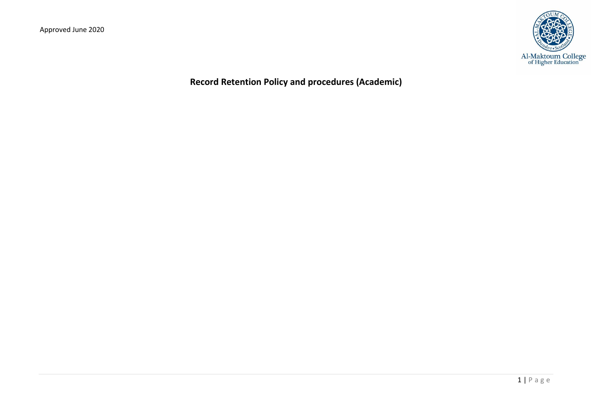

**Record Retention Policy and procedures (Academic)**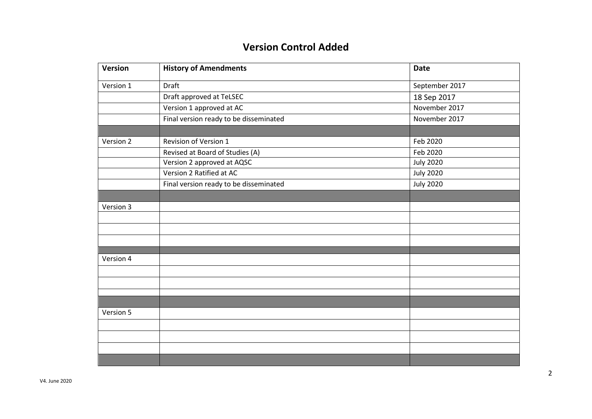# **Version Control Added**

| Version   | <b>History of Amendments</b>           | <b>Date</b>      |
|-----------|----------------------------------------|------------------|
| Version 1 | Draft                                  | September 2017   |
|           | Draft approved at TeLSEC               | 18 Sep 2017      |
|           | Version 1 approved at AC               | November 2017    |
|           | Final version ready to be disseminated | November 2017    |
|           |                                        |                  |
| Version 2 | Revision of Version 1                  | Feb 2020         |
|           | Revised at Board of Studies (A)        | Feb 2020         |
|           | Version 2 approved at AQSC             | <b>July 2020</b> |
|           | Version 2 Ratified at AC               | <b>July 2020</b> |
|           | Final version ready to be disseminated | <b>July 2020</b> |
|           |                                        |                  |
| Version 3 |                                        |                  |
|           |                                        |                  |
|           |                                        |                  |
|           |                                        |                  |
|           |                                        |                  |
| Version 4 |                                        |                  |
|           |                                        |                  |
|           |                                        |                  |
|           |                                        |                  |
|           |                                        |                  |
| Version 5 |                                        |                  |
|           |                                        |                  |
|           |                                        |                  |
|           |                                        |                  |
|           |                                        |                  |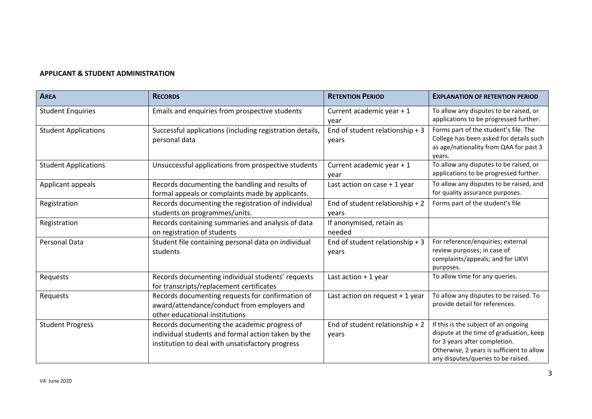## **APPLICANT & STUDENT ADMINISTRATION**

| <b>AREA</b>                 | <b>RECORDS</b>                                                                                                                                         | <b>RETENTION PERIOD</b>                  | <b>EXPLANATION OF RETENTION PERIOD</b>                                                                                                                                                              |
|-----------------------------|--------------------------------------------------------------------------------------------------------------------------------------------------------|------------------------------------------|-----------------------------------------------------------------------------------------------------------------------------------------------------------------------------------------------------|
| <b>Student Enquiries</b>    | Emails and enquiries from prospective students                                                                                                         | Current academic year + 1<br>vear        | To allow any disputes to be raised, or<br>applications to be progressed further.                                                                                                                    |
| <b>Student Applications</b> | Successful applications (including registration details,<br>personal data                                                                              | End of student relationship + 3<br>years | Forms part of the student's file. The<br>College has been asked for details such<br>as age/nationality from QAA for past 3<br>vears.                                                                |
| <b>Student Applications</b> | Unsuccessful applications from prospective students                                                                                                    | Current academic year + 1<br>year        | To allow any disputes to be raised, or<br>applications to be progressed further.                                                                                                                    |
| Applicant appeals           | Records documenting the handling and results of<br>formal appeals or complaints made by applicants.                                                    | Last action on case $+1$ year            | To allow any disputes to be raised, and<br>for quality assurance purposes.                                                                                                                          |
| Registration                | Records documenting the registration of individual<br>students on programmes/units.                                                                    | End of student relationship + 2<br>years | Forms part of the student's file                                                                                                                                                                    |
| Registration                | Records containing summaries and analysis of data<br>on registration of students                                                                       | If anonymised, retain as<br>needed       |                                                                                                                                                                                                     |
| Personal Data               | Student file containing personal data on individual<br>students                                                                                        | End of student relationship + 3<br>years | For reference/enquiries; external<br>review purposes; in case of<br>complaints/appeals; and for UKVI<br>purposes.                                                                                   |
| Requests                    | Records documenting individual students' requests<br>for transcripts/replacement certificates                                                          | Last action + 1 year                     | To allow time for any queries.                                                                                                                                                                      |
| Requests                    | Records documenting requests for confirmation of<br>award/attendance/conduct from employers and<br>other educational institutions                      | Last action on request + 1 year          | To allow any disputes to be raised. To<br>provide detail for references.                                                                                                                            |
| <b>Student Progress</b>     | Records documenting the academic progress of<br>individual students and formal action taken by the<br>institution to deal with unsatisfactory progress | End of student relationship + 2<br>years | If this is the subject of an ongoing<br>dispute at the time of graduation, keep<br>for 3 years after completion.<br>Otherwise, 2 years is sufficient to allow<br>any disputes/queries to be raised. |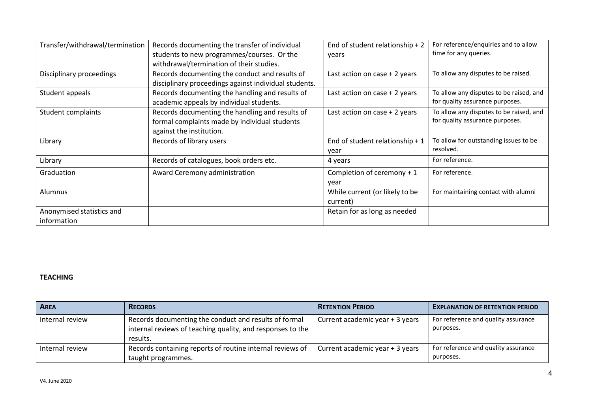| Transfer/withdrawal/termination | Records documenting the transfer of individual<br>students to new programmes/courses. Or the | End of student relationship + 2<br>years | For reference/enquiries and to allow<br>time for any queries. |
|---------------------------------|----------------------------------------------------------------------------------------------|------------------------------------------|---------------------------------------------------------------|
|                                 | withdrawal/termination of their studies.                                                     |                                          |                                                               |
| Disciplinary proceedings        | Records documenting the conduct and results of                                               | Last action on case $+2$ years           | To allow any disputes to be raised.                           |
|                                 | disciplinary proceedings against individual students.                                        |                                          |                                                               |
| Student appeals                 | Records documenting the handling and results of                                              | Last action on case $+2$ years           | To allow any disputes to be raised, and                       |
|                                 | academic appeals by individual students.                                                     |                                          | for quality assurance purposes.                               |
| Student complaints              | Records documenting the handling and results of                                              | Last action on case + 2 years            | To allow any disputes to be raised, and                       |
|                                 | formal complaints made by individual students                                                |                                          | for quality assurance purposes.                               |
|                                 | against the institution.                                                                     |                                          |                                                               |
| Library                         | Records of library users                                                                     | End of student relationship + $1$        | To allow for outstanding issues to be                         |
|                                 |                                                                                              | year                                     | resolved.                                                     |
| Library                         | Records of catalogues, book orders etc.                                                      | 4 years                                  | For reference.                                                |
| Graduation                      | Award Ceremony administration                                                                | Completion of ceremony + 1               | For reference.                                                |
|                                 |                                                                                              | year                                     |                                                               |
| Alumnus                         |                                                                                              | While current (or likely to be           | For maintaining contact with alumni                           |
|                                 |                                                                                              | current)                                 |                                                               |
| Anonymised statistics and       |                                                                                              | Retain for as long as needed             |                                                               |
| information                     |                                                                                              |                                          |                                                               |

# **TEACHING**

| <b>AREA</b>     | <b>RECORDS</b>                                                                                                                  | <b>RETENTION PERIOD</b>         | <b>EXPLANATION OF RETENTION PERIOD</b>           |
|-----------------|---------------------------------------------------------------------------------------------------------------------------------|---------------------------------|--------------------------------------------------|
| Internal review | Records documenting the conduct and results of formal<br>internal reviews of teaching quality, and responses to the<br>results. | Current academic year + 3 years | For reference and quality assurance<br>purposes. |
| Internal review | Records containing reports of routine internal reviews of<br>taught programmes.                                                 | Current academic year + 3 years | For reference and quality assurance<br>purposes. |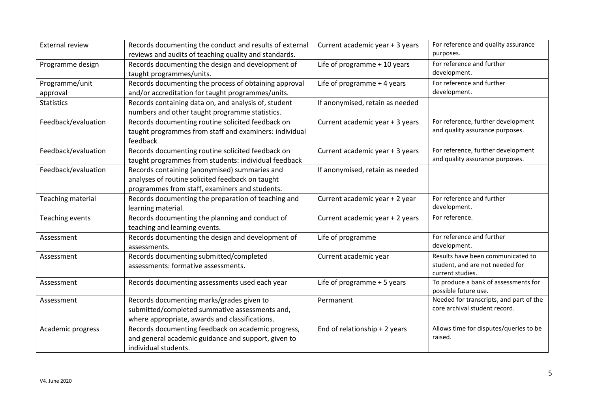| <b>External review</b>   | Records documenting the conduct and results of external | Current academic year + 3 years | For reference and quality assurance                             |
|--------------------------|---------------------------------------------------------|---------------------------------|-----------------------------------------------------------------|
|                          | reviews and audits of teaching quality and standards.   |                                 | purposes.                                                       |
| Programme design         | Records documenting the design and development of       | Life of programme + 10 years    | For reference and further                                       |
|                          | taught programmes/units.                                |                                 | development.                                                    |
| Programme/unit           | Records documenting the process of obtaining approval   | Life of programme + 4 years     | For reference and further                                       |
| approval                 | and/or accreditation for taught programmes/units.       |                                 | development.                                                    |
| <b>Statistics</b>        | Records containing data on, and analysis of, student    | If anonymised, retain as needed |                                                                 |
|                          | numbers and other taught programme statistics.          |                                 |                                                                 |
| Feedback/evaluation      | Records documenting routine solicited feedback on       | Current academic year + 3 years | For reference, further development                              |
|                          | taught programmes from staff and examiners: individual  |                                 | and quality assurance purposes.                                 |
|                          | feedback                                                |                                 |                                                                 |
| Feedback/evaluation      | Records documenting routine solicited feedback on       | Current academic year + 3 years | For reference, further development                              |
|                          | taught programmes from students: individual feedback    |                                 | and quality assurance purposes.                                 |
| Feedback/evaluation      | Records containing (anonymised) summaries and           | If anonymised, retain as needed |                                                                 |
|                          | analyses of routine solicited feedback on taught        |                                 |                                                                 |
|                          | programmes from staff, examiners and students.          |                                 |                                                                 |
| <b>Teaching material</b> | Records documenting the preparation of teaching and     | Current academic year + 2 year  | For reference and further                                       |
|                          | learning material.                                      |                                 | development.                                                    |
| Teaching events          | Records documenting the planning and conduct of         | Current academic year + 2 years | For reference.                                                  |
|                          | teaching and learning events.                           |                                 |                                                                 |
| Assessment               | Records documenting the design and development of       | Life of programme               | For reference and further                                       |
|                          | assessments.                                            |                                 | development.                                                    |
| Assessment               | Records documenting submitted/completed                 | Current academic year           | Results have been communicated to                               |
|                          | assessments: formative assessments.                     |                                 | student, and are not needed for                                 |
|                          |                                                         |                                 | current studies.                                                |
| Assessment               | Records documenting assessments used each year          | Life of programme + 5 years     | To produce a bank of assessments for                            |
| Assessment               | Records documenting marks/grades given to               | Permanent                       | possible future use.<br>Needed for transcripts, and part of the |
|                          | submitted/completed summative assessments and,          |                                 | core archival student record.                                   |
|                          |                                                         |                                 |                                                                 |
|                          | where appropriate, awards and classifications.          |                                 | Allows time for disputes/queries to be                          |
| Academic progress        | Records documenting feedback on academic progress,      | End of relationship + 2 years   | raised.                                                         |
|                          | and general academic guidance and support, given to     |                                 |                                                                 |
|                          | individual students.                                    |                                 |                                                                 |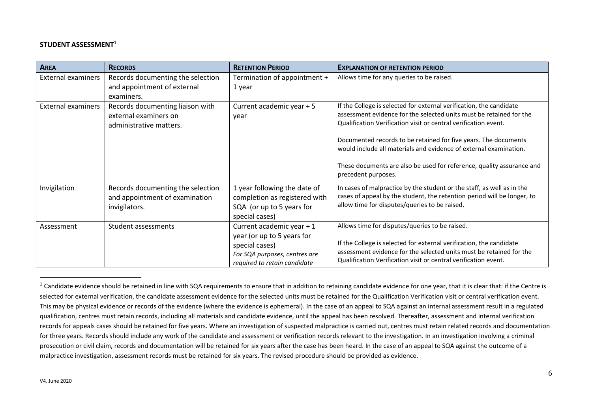#### **STUDENT ASSESSMENT<sup>1</sup>**

| <b>AREA</b>               | <b>RECORDS</b>                                                                       | <b>RETENTION PERIOD</b>                                                                                                                    | <b>EXPLANATION OF RETENTION PERIOD</b>                                                                                                                                                                                                                          |
|---------------------------|--------------------------------------------------------------------------------------|--------------------------------------------------------------------------------------------------------------------------------------------|-----------------------------------------------------------------------------------------------------------------------------------------------------------------------------------------------------------------------------------------------------------------|
| <b>External examiners</b> | Records documenting the selection<br>and appointment of external<br>examiners.       | Termination of appointment +<br>1 year                                                                                                     | Allows time for any queries to be raised.                                                                                                                                                                                                                       |
| <b>External examiners</b> | Records documenting liaison with<br>external examiners on<br>administrative matters. | Current academic year + 5<br>year                                                                                                          | If the College is selected for external verification, the candidate<br>assessment evidence for the selected units must be retained for the<br>Qualification Verification visit or central verification event.                                                   |
|                           |                                                                                      |                                                                                                                                            | Documented records to be retained for five years. The documents<br>would include all materials and evidence of external examination.<br>These documents are also be used for reference, quality assurance and                                                   |
|                           |                                                                                      |                                                                                                                                            | precedent purposes.                                                                                                                                                                                                                                             |
| Invigilation              | Records documenting the selection<br>and appointment of examination<br>invigilators. | 1 year following the date of<br>completion as registered with<br>SQA (or up to 5 years for<br>special cases)                               | In cases of malpractice by the student or the staff, as well as in the<br>cases of appeal by the student, the retention period will be longer, to<br>allow time for disputes/queries to be raised.                                                              |
| Assessment                | Student assessments                                                                  | Current academic year + 1<br>year (or up to 5 years for<br>special cases)<br>For SQA purposes, centres are<br>required to retain candidate | Allows time for disputes/queries to be raised.<br>If the College is selected for external verification, the candidate<br>assessment evidence for the selected units must be retained for the<br>Qualification Verification visit or central verification event. |

<sup>&</sup>lt;sup>1</sup> Candidate evidence should be retained in line with SQA requirements to ensure that in addition to retaining candidate evidence for one year, that it is clear that: if the Centre is selected for external verification, the candidate assessment evidence for the selected units must be retained for the Qualification Verification visit or central verification event. This may be physical evidence or records of the evidence (where the evidence is ephemeral). In the case of an appeal to SQA against an internal assessment result in a regulated qualification, centres must retain records, including all materials and candidate evidence, until the appeal has been resolved. Thereafter, assessment and internal verification records for appeals cases should be retained for five years. Where an investigation of suspected malpractice is carried out, centres must retain related records and documentation for three years. Records should include any work of the candidate and assessment or verification records relevant to the investigation. In an investigation involving a criminal prosecution or civil claim, records and documentation will be retained for six years after the case has been heard. In the case of an appeal to SQA against the outcome of a malpractice investigation, assessment records must be retained for six years. The revised procedure should be provided as evidence.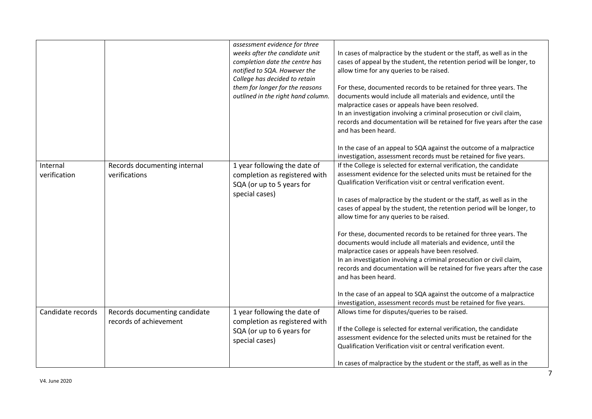|                          |                                                         | assessment evidence for three<br>weeks after the candidate unit<br>completion date the centre has<br>notified to SQA. However the<br>College has decided to retain<br>them for longer for the reasons<br>outlined in the right hand column. | In cases of malpractice by the student or the staff, as well as in the<br>cases of appeal by the student, the retention period will be longer, to<br>allow time for any queries to be raised.<br>For these, documented records to be retained for three years. The<br>documents would include all materials and evidence, until the<br>malpractice cases or appeals have been resolved.<br>In an investigation involving a criminal prosecution or civil claim,<br>records and documentation will be retained for five years after the case<br>and has been heard.                                                                                                                                                                                                                                                                                                                                                                |
|--------------------------|---------------------------------------------------------|---------------------------------------------------------------------------------------------------------------------------------------------------------------------------------------------------------------------------------------------|-----------------------------------------------------------------------------------------------------------------------------------------------------------------------------------------------------------------------------------------------------------------------------------------------------------------------------------------------------------------------------------------------------------------------------------------------------------------------------------------------------------------------------------------------------------------------------------------------------------------------------------------------------------------------------------------------------------------------------------------------------------------------------------------------------------------------------------------------------------------------------------------------------------------------------------|
|                          |                                                         |                                                                                                                                                                                                                                             | In the case of an appeal to SQA against the outcome of a malpractice<br>investigation, assessment records must be retained for five years.                                                                                                                                                                                                                                                                                                                                                                                                                                                                                                                                                                                                                                                                                                                                                                                        |
| Internal<br>verification | Records documenting internal<br>verifications           | 1 year following the date of<br>completion as registered with<br>SQA (or up to 5 years for<br>special cases)                                                                                                                                | If the College is selected for external verification, the candidate<br>assessment evidence for the selected units must be retained for the<br>Qualification Verification visit or central verification event.<br>In cases of malpractice by the student or the staff, as well as in the<br>cases of appeal by the student, the retention period will be longer, to<br>allow time for any queries to be raised.<br>For these, documented records to be retained for three years. The<br>documents would include all materials and evidence, until the<br>malpractice cases or appeals have been resolved.<br>In an investigation involving a criminal prosecution or civil claim,<br>records and documentation will be retained for five years after the case<br>and has been heard.<br>In the case of an appeal to SQA against the outcome of a malpractice<br>investigation, assessment records must be retained for five years. |
| Candidate records        | Records documenting candidate<br>records of achievement | 1 year following the date of<br>completion as registered with<br>SQA (or up to 6 years for<br>special cases)                                                                                                                                | Allows time for disputes/queries to be raised.<br>If the College is selected for external verification, the candidate<br>assessment evidence for the selected units must be retained for the<br>Qualification Verification visit or central verification event.<br>In cases of malpractice by the student or the staff, as well as in the                                                                                                                                                                                                                                                                                                                                                                                                                                                                                                                                                                                         |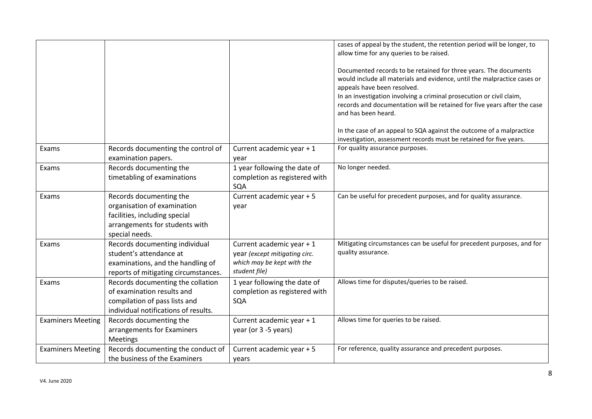|                          |                                                                                                                                             |                                                                                                           | cases of appeal by the student, the retention period will be longer, to<br>allow time for any queries to be raised.<br>Documented records to be retained for three years. The documents<br>would include all materials and evidence, until the malpractice cases or<br>appeals have been resolved.<br>In an investigation involving a criminal prosecution or civil claim,<br>records and documentation will be retained for five years after the case<br>and has been heard. |
|--------------------------|---------------------------------------------------------------------------------------------------------------------------------------------|-----------------------------------------------------------------------------------------------------------|-------------------------------------------------------------------------------------------------------------------------------------------------------------------------------------------------------------------------------------------------------------------------------------------------------------------------------------------------------------------------------------------------------------------------------------------------------------------------------|
|                          |                                                                                                                                             |                                                                                                           | In the case of an appeal to SQA against the outcome of a malpractice<br>investigation, assessment records must be retained for five years.                                                                                                                                                                                                                                                                                                                                    |
| Exams                    | Records documenting the control of<br>examination papers.                                                                                   | Current academic year + 1<br>year                                                                         | For quality assurance purposes.                                                                                                                                                                                                                                                                                                                                                                                                                                               |
| Exams                    | Records documenting the<br>timetabling of examinations                                                                                      | 1 year following the date of<br>completion as registered with<br>SQA                                      | No longer needed.                                                                                                                                                                                                                                                                                                                                                                                                                                                             |
| Exams                    | Records documenting the<br>organisation of examination<br>facilities, including special<br>arrangements for students with<br>special needs. | Current academic year + 5<br>year                                                                         | Can be useful for precedent purposes, and for quality assurance.                                                                                                                                                                                                                                                                                                                                                                                                              |
| Exams                    | Records documenting individual<br>student's attendance at<br>examinations, and the handling of<br>reports of mitigating circumstances.      | Current academic year + 1<br>year (except mitigating circ.<br>which may be kept with the<br>student file) | Mitigating circumstances can be useful for precedent purposes, and for<br>quality assurance.                                                                                                                                                                                                                                                                                                                                                                                  |
| Exams                    | Records documenting the collation<br>of examination results and<br>compilation of pass lists and<br>individual notifications of results.    | 1 year following the date of<br>completion as registered with<br>SQA                                      | Allows time for disputes/queries to be raised.                                                                                                                                                                                                                                                                                                                                                                                                                                |
| <b>Examiners Meeting</b> | Records documenting the<br>arrangements for Examiners<br>Meetings                                                                           | Current academic year + 1<br>year (or 3 -5 years)                                                         | Allows time for queries to be raised.                                                                                                                                                                                                                                                                                                                                                                                                                                         |
| <b>Examiners Meeting</b> | Records documenting the conduct of<br>the business of the Examiners                                                                         | Current academic year + 5<br>years                                                                        | For reference, quality assurance and precedent purposes.                                                                                                                                                                                                                                                                                                                                                                                                                      |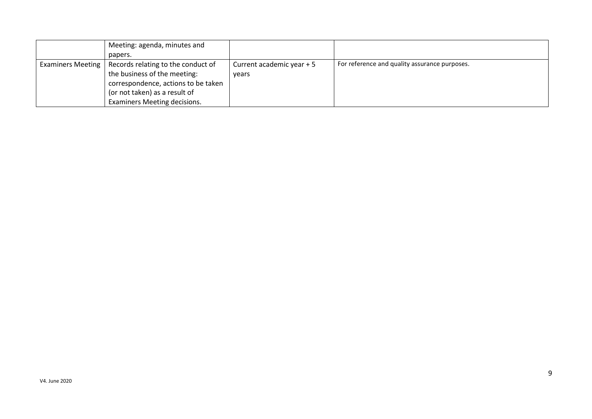|                          | Meeting: agenda, minutes and        |                           |                                               |
|--------------------------|-------------------------------------|---------------------------|-----------------------------------------------|
|                          | papers.                             |                           |                                               |
| <b>Examiners Meeting</b> | Records relating to the conduct of  | Current academic year + 5 | For reference and quality assurance purposes. |
|                          | the business of the meeting:        | vears                     |                                               |
|                          | correspondence, actions to be taken |                           |                                               |
|                          | (or not taken) as a result of       |                           |                                               |
|                          | Examiners Meeting decisions.        |                           |                                               |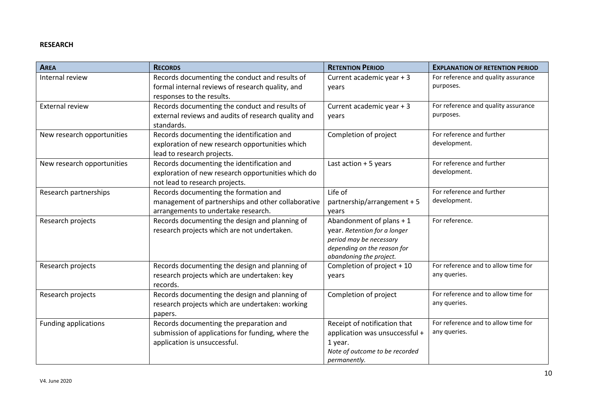## **RESEARCH**

| <b>AREA</b>                 | <b>RECORDS</b>                                                                                                                     | <b>RETENTION PERIOD</b>                                                                                                                       | <b>EXPLANATION OF RETENTION PERIOD</b>              |
|-----------------------------|------------------------------------------------------------------------------------------------------------------------------------|-----------------------------------------------------------------------------------------------------------------------------------------------|-----------------------------------------------------|
| Internal review             | Records documenting the conduct and results of<br>formal internal reviews of research quality, and<br>responses to the results.    | Current academic year + 3<br>years                                                                                                            | For reference and quality assurance<br>purposes.    |
| <b>External review</b>      | Records documenting the conduct and results of<br>external reviews and audits of research quality and<br>standards.                | Current academic year + 3<br>vears                                                                                                            | For reference and quality assurance<br>purposes.    |
| New research opportunities  | Records documenting the identification and<br>exploration of new research opportunities which<br>lead to research projects.        | Completion of project                                                                                                                         | For reference and further<br>development.           |
| New research opportunities  | Records documenting the identification and<br>exploration of new research opportunities which do<br>not lead to research projects. | Last action $+5$ years                                                                                                                        | For reference and further<br>development.           |
| Research partnerships       | Records documenting the formation and<br>management of partnerships and other collaborative<br>arrangements to undertake research. | Life of<br>partnership/arrangement + 5<br>vears                                                                                               | For reference and further<br>development.           |
| Research projects           | Records documenting the design and planning of<br>research projects which are not undertaken.                                      | Abandonment of plans + 1<br>year. Retention for a longer<br>period may be necessary<br>depending on the reason for<br>abandoning the project. | For reference.                                      |
| Research projects           | Records documenting the design and planning of<br>research projects which are undertaken: key<br>records.                          | Completion of project + 10<br>years                                                                                                           | For reference and to allow time for<br>any queries. |
| Research projects           | Records documenting the design and planning of<br>research projects which are undertaken: working<br>papers.                       | Completion of project                                                                                                                         | For reference and to allow time for<br>any queries. |
| <b>Funding applications</b> | Records documenting the preparation and<br>submission of applications for funding, where the<br>application is unsuccessful.       | Receipt of notification that<br>application was unsuccessful +<br>1 year.<br>Note of outcome to be recorded<br>permanently.                   | For reference and to allow time for<br>any queries. |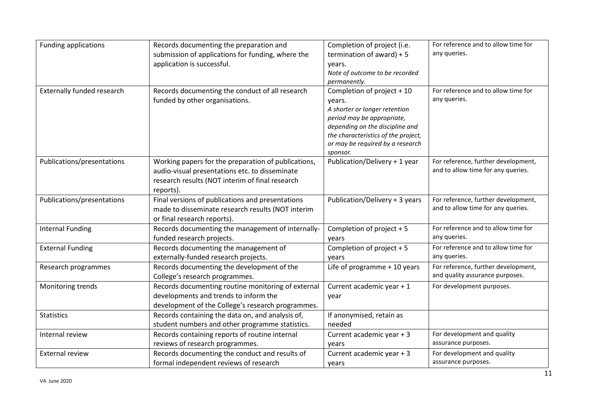| <b>Funding applications</b>       | Records documenting the preparation and<br>submission of applications for funding, where the<br>application is successful.                                            | Completion of project (i.e.<br>termination of award) + 5<br>years.<br>Note of outcome to be recorded<br>permanently.                                                                                                          | For reference and to allow time for<br>any queries.                       |
|-----------------------------------|-----------------------------------------------------------------------------------------------------------------------------------------------------------------------|-------------------------------------------------------------------------------------------------------------------------------------------------------------------------------------------------------------------------------|---------------------------------------------------------------------------|
| <b>Externally funded research</b> | Records documenting the conduct of all research<br>funded by other organisations.                                                                                     | Completion of project + 10<br>years.<br>A shorter or longer retention<br>period may be appropriate,<br>depending on the discipline and<br>the characteristics of the project,<br>or may be required by a research<br>sponsor. | For reference and to allow time for<br>any queries.                       |
| Publications/presentations        | Working papers for the preparation of publications,<br>audio-visual presentations etc. to disseminate<br>research results (NOT interim of final research<br>reports). | Publication/Delivery + 1 year                                                                                                                                                                                                 | For reference, further development,<br>and to allow time for any queries. |
| Publications/presentations        | Final versions of publications and presentations<br>made to disseminate research results (NOT interim<br>or final research reports).                                  | Publication/Delivery + 3 years                                                                                                                                                                                                | For reference, further development,<br>and to allow time for any queries. |
| <b>Internal Funding</b>           | Records documenting the management of internally-<br>funded research projects.                                                                                        | Completion of project + 5<br>vears                                                                                                                                                                                            | For reference and to allow time for<br>any queries.                       |
| <b>External Funding</b>           | Records documenting the management of<br>externally-funded research projects.                                                                                         | Completion of project + 5<br>years                                                                                                                                                                                            | For reference and to allow time for<br>any queries.                       |
| Research programmes               | Records documenting the development of the<br>College's research programmes.                                                                                          | Life of programme + 10 years                                                                                                                                                                                                  | For reference, further development,<br>and quality assurance purposes.    |
| Monitoring trends                 | Records documenting routine monitoring of external<br>developments and trends to inform the<br>development of the College's research programmes.                      | Current academic year + 1<br>year                                                                                                                                                                                             | For development purposes.                                                 |
| <b>Statistics</b>                 | Records containing the data on, and analysis of,<br>student numbers and other programme statistics.                                                                   | If anonymised, retain as<br>needed                                                                                                                                                                                            |                                                                           |
| Internal review                   | Records containing reports of routine internal<br>reviews of research programmes.                                                                                     | Current academic year + 3<br>years                                                                                                                                                                                            | For development and quality<br>assurance purposes.                        |
| <b>External review</b>            | Records documenting the conduct and results of<br>formal independent reviews of research                                                                              | Current academic year + 3<br>years                                                                                                                                                                                            | For development and quality<br>assurance purposes.                        |